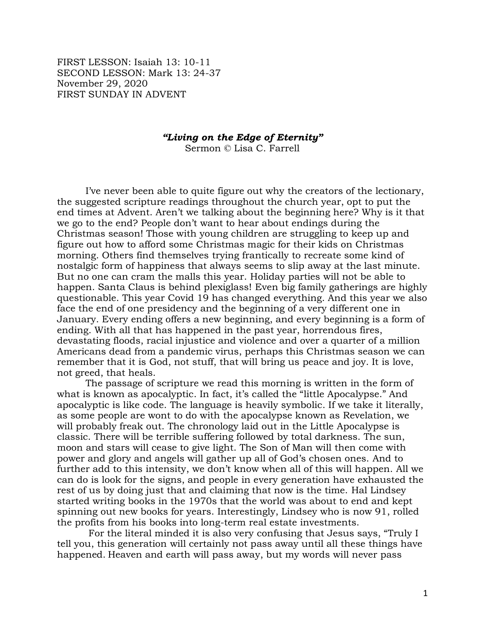FIRST LESSON: Isaiah 13: 10-11 SECOND LESSON: Mark 13: 24-37 November 29, 2020 FIRST SUNDAY IN ADVENT

## *"Living on the Edge of Eternity"*

Sermon © Lisa C. Farrell

I've never been able to quite figure out why the creators of the lectionary, the suggested scripture readings throughout the church year, opt to put the end times at Advent. Aren't we talking about the beginning here? Why is it that we go to the end? People don't want to hear about endings during the Christmas season! Those with young children are struggling to keep up and figure out how to afford some Christmas magic for their kids on Christmas morning. Others find themselves trying frantically to recreate some kind of nostalgic form of happiness that always seems to slip away at the last minute. But no one can cram the malls this year. Holiday parties will not be able to happen. Santa Claus is behind plexiglass! Even big family gatherings are highly questionable. This year Covid 19 has changed everything. And this year we also face the end of one presidency and the beginning of a very different one in January. Every ending offers a new beginning, and every beginning is a form of ending. With all that has happened in the past year, horrendous fires, devastating floods, racial injustice and violence and over a quarter of a million Americans dead from a pandemic virus, perhaps this Christmas season we can remember that it is God, not stuff, that will bring us peace and joy. It is love, not greed, that heals.

The passage of scripture we read this morning is written in the form of what is known as apocalyptic. In fact, it's called the "little Apocalypse." And apocalyptic is like code. The language is heavily symbolic. If we take it literally, as some people are wont to do with the apocalypse known as Revelation, we will probably freak out. The chronology laid out in the Little Apocalypse is classic. There will be terrible suffering followed by total darkness. The sun, moon and stars will cease to give light. The Son of Man will then come with power and glory and angels will gather up all of God's chosen ones. And to further add to this intensity, we don't know when all of this will happen. All we can do is look for the signs, and people in every generation have exhausted the rest of us by doing just that and claiming that now is the time. Hal Lindsey started writing books in the 1970s that the world was about to end and kept spinning out new books for years. Interestingly, Lindsey who is now 91, rolled the profits from his books into long-term real estate investments.

For the literal minded it is also very confusing that Jesus says, "Truly I tell you, this generation will certainly not pass away until all these things have happened. Heaven and earth will pass away, but my words will never pass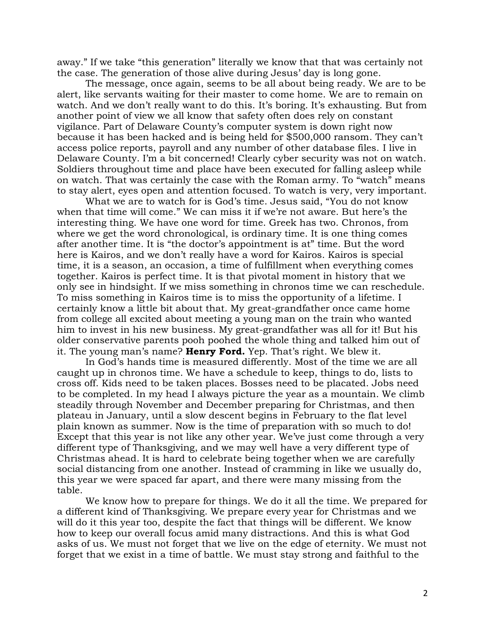away." If we take "this generation" literally we know that that was certainly not the case. The generation of those alive during Jesus' day is long gone.

The message, once again, seems to be all about being ready. We are to be alert, like servants waiting for their master to come home. We are to remain on watch. And we don't really want to do this. It's boring. It's exhausting. But from another point of view we all know that safety often does rely on constant vigilance. Part of Delaware County's computer system is down right now because it has been hacked and is being held for \$500,000 ransom. They can't access police reports, payroll and any number of other database files. I live in Delaware County. I'm a bit concerned! Clearly cyber security was not on watch. Soldiers throughout time and place have been executed for falling asleep while on watch. That was certainly the case with the Roman army. To "watch" means to stay alert, eyes open and attention focused. To watch is very, very important.

What we are to watch for is God's time. Jesus said, "You do not know when that time will come." We can miss it if we're not aware. But here's the interesting thing. We have one word for time. Greek has two. Chronos, from where we get the word chronological, is ordinary time. It is one thing comes after another time. It is "the doctor's appointment is at" time. But the word here is Kairos, and we don't really have a word for Kairos. Kairos is special time, it is a season, an occasion, a time of fulfillment when everything comes together. Kairos is perfect time. It is that pivotal moment in history that we only see in hindsight. If we miss something in chronos time we can reschedule. To miss something in Kairos time is to miss the opportunity of a lifetime. I certainly know a little bit about that. My great-grandfather once came home from college all excited about meeting a young man on the train who wanted him to invest in his new business. My great-grandfather was all for it! But his older conservative parents pooh poohed the whole thing and talked him out of it. The young man's name? **Henry Ford.** Yep. That's right. We blew it.

In God's hands time is measured differently. Most of the time we are all caught up in chronos time. We have a schedule to keep, things to do, lists to cross off. Kids need to be taken places. Bosses need to be placated. Jobs need to be completed. In my head I always picture the year as a mountain. We climb steadily through November and December preparing for Christmas, and then plateau in January, until a slow descent begins in February to the flat level plain known as summer. Now is the time of preparation with so much to do! Except that this year is not like any other year. We've just come through a very different type of Thanksgiving, and we may well have a very different type of Christmas ahead. It is hard to celebrate being together when we are carefully social distancing from one another. Instead of cramming in like we usually do, this year we were spaced far apart, and there were many missing from the table.

We know how to prepare for things. We do it all the time. We prepared for a different kind of Thanksgiving. We prepare every year for Christmas and we will do it this year too, despite the fact that things will be different. We know how to keep our overall focus amid many distractions. And this is what God asks of us. We must not forget that we live on the edge of eternity. We must not forget that we exist in a time of battle. We must stay strong and faithful to the